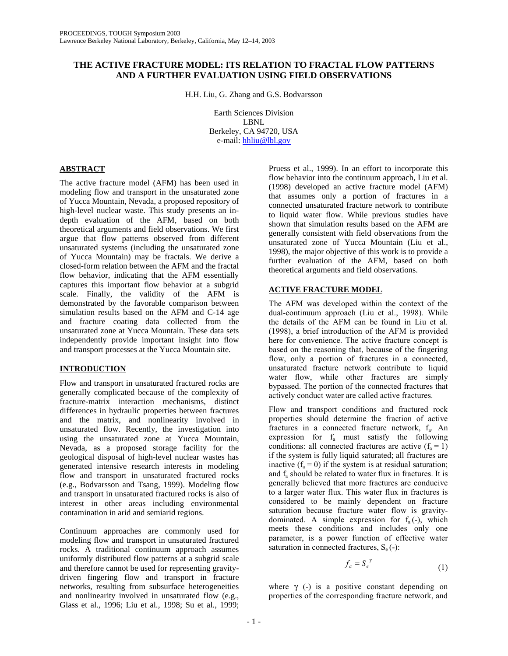# **THE ACTIVE FRACTURE MODEL: ITS RELATION TO FRACTAL FLOW PATTERNS AND A FURTHER EVALUATION USING FIELD OBSERVATIONS**

H.H. Liu, G. Zhang and G.S. Bodvarsson

Earth Sciences Division LBNL Berkeley, CA 94720, USA e-mail: hhliu@lbl.gov

# **ABSTRACT**

The active fracture model (AFM) has been used in modeling flow and transport in the unsaturated zone of Yucca Mountain, Nevada, a proposed repository of high-level nuclear waste. This study presents an indepth evaluation of the AFM, based on both theoretical arguments and field observations. We first argue that flow patterns observed from different unsaturated systems (including the unsaturated zone of Yucca Mountain) may be fractals. We derive a closed-form relation between the AFM and the fractal flow behavior, indicating that the AFM essentially captures this important flow behavior at a subgrid scale. Finally, the validity of the AFM is demonstrated by the favorable comparison between simulation results based on the AFM and C-14 age and fracture coating data collected from the unsaturated zone at Yucca Mountain. These data sets independently provide important insight into flow and transport processes at the Yucca Mountain site.

## **INTRODUCTION**

Flow and transport in unsaturated fractured rocks are generally complicated because of the complexity of fracture-matrix interaction mechanisms, distinct differences in hydraulic properties between fractures and the matrix, and nonlinearity involved in unsaturated flow. Recently, the investigation into using the unsaturated zone at Yucca Mountain, Nevada, as a proposed storage facility for the geological disposal of high-level nuclear wastes has generated intensive research interests in modeling flow and transport in unsaturated fractured rocks (e.g., Bodvarsson and Tsang, 1999). Modeling flow and transport in unsaturated fractured rocks is also of interest in other areas including environmental contamination in arid and semiarid regions.

Continuum approaches are commonly used for modeling flow and transport in unsaturated fractured rocks. A traditional continuum approach assumes uniformly distributed flow patterns at a subgrid scale and therefore cannot be used for representing gravitydriven fingering flow and transport in fracture networks, resulting from subsurface heterogeneities and nonlinearity involved in unsaturated flow (e.g., Glass et al., 1996; Liu et al., 1998; Su et al., 1999;

Pruess et al., 1999). In an effort to incorporate this flow behavior into the continuum approach, Liu et al. (1998) developed an active fracture model (AFM) that assumes only a portion of fractures in a connected unsaturated fracture network to contribute to liquid water flow. While previous studies have shown that simulation results based on the AFM are generally consistent with field observations from the unsaturated zone of Yucca Mountain (Liu et al., 1998), the major objective of this work is to provide a further evaluation of the AFM, based on both theoretical arguments and field observations.

## **ACTIVE FRACTURE MODEL**

The AFM was developed within the context of the dual-continuum approach (Liu et al., 1998). While the details of the AFM can be found in Liu et al. (1998), a brief introduction of the AFM is provided here for convenience. The active fracture concept is based on the reasoning that, because of the fingering flow, only a portion of fractures in a connected, unsaturated fracture network contribute to liquid water flow, while other fractures are simply bypassed. The portion of the connected fractures that actively conduct water are called active fractures.

Flow and transport conditions and fractured rock properties should determine the fraction of active fractures in a connected fracture network,  $f_a$ . An expression for fa must satisfy the following conditions: all connected fractures are active  $(f_a = 1)$ if the system is fully liquid saturated; all fractures are inactive  $(f_a = 0)$  if the system is at residual saturation; and  $f_a$  should be related to water flux in fractures. It is generally believed that more fractures are conducive to a larger water flux. This water flux in fractures is considered to be mainly dependent on fracture saturation because fracture water flow is gravitydominated. A simple expression for  $f_a(-)$ , which meets these conditions and includes only one parameter, is a power function of effective water saturation in connected fractures,  $S_e(-)$ :

$$
f_a = S_e^{\gamma} \tag{1}
$$

where  $\gamma$  (-) is a positive constant depending on properties of the corresponding fracture network, and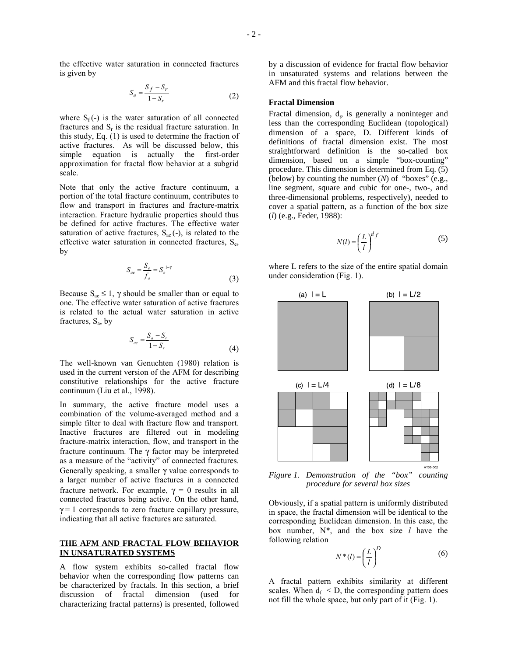the effective water saturation in connected fractures is given by

$$
S_e = \frac{S_f - S_r}{1 - S_r} \tag{2}
$$

where  $S_f(-)$  is the water saturation of all connected fractures and  $S_r$  is the residual fracture saturation. In this study, Eq. (1) is used to determine the fraction of active fractures. As will be discussed below, this simple equation is actually the first-order approximation for fractal flow behavior at a subgrid scale.

Note that only the active fracture continuum, a portion of the total fracture continuum, contributes to flow and transport in fractures and fracture-matrix interaction. Fracture hydraulic properties should thus be defined for active fractures. The effective water saturation of active fractures,  $S_{ae}(-)$ , is related to the effective water saturation in connected fractures,  $S_e$ , by

$$
S_{ae} = \frac{S_e}{f_a} = S_e^{1-\gamma}
$$
\n(3)

Because  $S_{ae} \leq 1$ ,  $\gamma$  should be smaller than or equal to one. The effective water saturation of active fractures is related to the actual water saturation in active fractures, S<sub>a</sub>, by

$$
S_{ae} = \frac{S_a - S_r}{1 - S_r} \tag{4}
$$

The well-known van Genuchten (1980) relation is used in the current version of the AFM for describing constitutive relationships for the active fracture continuum (Liu et al., 1998).

In summary, the active fracture model uses a combination of the volume-averaged method and a simple filter to deal with fracture flow and transport. Inactive fractures are filtered out in modeling fracture-matrix interaction, flow, and transport in the fracture continuum. The γ factor may be interpreted as a measure of the "activity" of connected fractures. Generally speaking, a smaller  $\gamma$  value corresponds to a larger number of active fractures in a connected fracture network. For example,  $\gamma = 0$  results in all connected fractures being active. On the other hand,  $\gamma = 1$  corresponds to zero fracture capillary pressure, indicating that all active fractures are saturated.

### **THE AFM AND FRACTAL FLOW BEHAVIOR IN UNSATURATED SYSTEMS**

A flow system exhibits so-called fractal flow behavior when the corresponding flow patterns can be characterized by fractals. In this section, a brief discussion of fractal dimension (used for characterizing fractal patterns) is presented, followed by a discussion of evidence for fractal flow behavior in unsaturated systems and relations between the AFM and this fractal flow behavior.

#### **Fractal Dimension**

Fractal dimension,  $d_f$ , is generally a noninteger and less than the corresponding Euclidean (topological) dimension of a space, D. Different kinds of definitions of fractal dimension exist. The most straightforward definition is the so-called box dimension, based on a simple "box-counting" procedure. This dimension is determined from Eq. (5) (below) by counting the number (*N*) of "boxes" (e.g., line segment, square and cubic for one-, two-, and three-dimensional problems, respectively), needed to cover a spatial pattern, as a function of the box size (*l*) (e.g., Feder, 1988):

$$
N(l) = \left(\frac{L}{l}\right)^{d_f} \tag{5}
$$

where L refers to the size of the entire spatial domain under consideration (Fig. 1).



*Figure 1. Demonstration of the "box" counting procedure for several box sizes* 

Obviously, if a spatial pattern is uniformly distributed in space, the fractal dimension will be identical to the corresponding Euclidean dimension. In this case, the box number, N\*, and the box size *l* have the following relation

$$
N^*(l) = \left(\frac{L}{l}\right)^D \tag{6}
$$

A fractal pattern exhibits similarity at different scales. When  $d_f$  < D, the corresponding pattern does not fill the whole space, but only part of it (Fig. 1).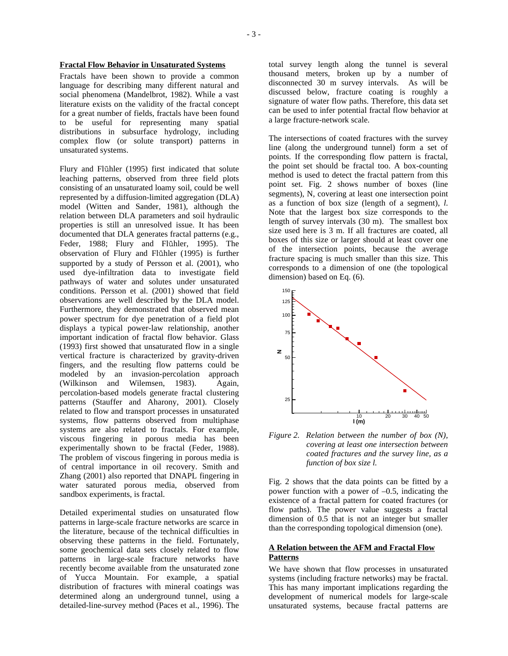#### **Fractal Flow Behavior in Unsaturated Systems**

Fractals have been shown to provide a common language for describing many different natural and social phenomena (Mandelbrot, 1982). While a vast literature exists on the validity of the fractal concept for a great number of fields, fractals have been found to be useful for representing many spatial distributions in subsurface hydrology, including complex flow (or solute transport) patterns in unsaturated systems.

Flury and Flühler (1995) first indicated that solute leaching patterns, observed from three field plots consisting of an unsaturated loamy soil, could be well represented by a diffusion-limited aggregation (DLA) model (Witten and Sander, 1981), although the relation between DLA parameters and soil hydraulic properties is still an unresolved issue. It has been documented that DLA generates fractal patterns (e.g., Feder, 1988; Flury and Flühler, 1995). The observation of Flury and Flühler (1995) is further supported by a study of Persson et al. (2001), who used dye-infiltration data to investigate field pathways of water and solutes under unsaturated conditions. Persson et al. (2001) showed that field observations are well described by the DLA model. Furthermore, they demonstrated that observed mean power spectrum for dye penetration of a field plot displays a typical power-law relationship, another important indication of fractal flow behavior. Glass (1993) first showed that unsaturated flow in a single vertical fracture is characterized by gravity-driven fingers, and the resulting flow patterns could be modeled by an invasion-percolation approach (Wilkinson and Wilemsen, 1983). Again, percolation-based models generate fractal clustering patterns (Stauffer and Aharony, 2001). Closely related to flow and transport processes in unsaturated systems, flow patterns observed from multiphase systems are also related to fractals. For example, viscous fingering in porous media has been experimentally shown to be fractal (Feder, 1988). The problem of viscous fingering in porous media is of central importance in oil recovery. Smith and Zhang (2001) also reported that DNAPL fingering in water saturated porous media, observed from sandbox experiments, is fractal.

Detailed experimental studies on unsaturated flow patterns in large-scale fracture networks are scarce in the literature, because of the technical difficulties in observing these patterns in the field. Fortunately, some geochemical data sets closely related to flow patterns in large-scale fracture networks have recently become available from the unsaturated zone of Yucca Mountain. For example, a spatial distribution of fractures with mineral coatings was determined along an underground tunnel, using a detailed-line-survey method (Paces et al., 1996). The

total survey length along the tunnel is several thousand meters, broken up by a number of disconnected 30 m survey intervals. As will be discussed below, fracture coating is roughly a signature of water flow paths. Therefore, this data set can be used to infer potential fractal flow behavior at a large fracture-network scale.

The intersections of coated fractures with the survey line (along the underground tunnel) form a set of points. If the corresponding flow pattern is fractal, the point set should be fractal too. A box-counting method is used to detect the fractal pattern from this point set. Fig. 2 shows number of boxes (line segments), N, covering at least one intersection point as a function of box size (length of a segment), *l*. Note that the largest box size corresponds to the length of survey intervals (30 m). The smallest box size used here is 3 m. If all fractures are coated, all boxes of this size or larger should at least cover one of the intersection points, because the average fracture spacing is much smaller than this size. This corresponds to a dimension of one (the topological dimension) based on Eq. (6).





Fig. 2 shows that the data points can be fitted by a power function with a power of –0.5, indicating the existence of a fractal pattern for coated fractures (or flow paths). The power value suggests a fractal dimension of 0.5 that is not an integer but smaller than the corresponding topological dimension (one).

### **A Relation between the AFM and Fractal Flow Patterns**

We have shown that flow processes in unsaturated systems (including fracture networks) may be fractal. This has many important implications regarding the development of numerical models for large-scale unsaturated systems, because fractal patterns are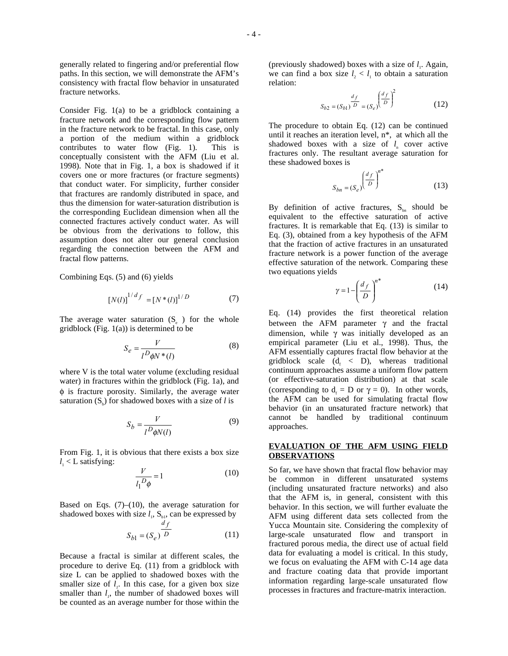generally related to fingering and/or preferential flow paths. In this section, we will demonstrate the AFM's consistency with fractal flow behavior in unsaturated fracture networks.

Consider Fig. 1(a) to be a gridblock containing a fracture network and the corresponding flow pattern in the fracture network to be fractal. In this case, only a portion of the medium within a gridblock contributes to water flow (Fig. 1). This is conceptually consistent with the AFM (Liu et al. 1998). Note that in Fig. 1, a box is shadowed if it covers one or more fractures (or fracture segments) that conduct water. For simplicity, further consider that fractures are randomly distributed in space, and thus the dimension for water-saturation distribution is the corresponding Euclidean dimension when all the connected fractures actively conduct water. As will be obvious from the derivations to follow, this assumption does not alter our general conclusion regarding the connection between the AFM and fractal flow patterns.

Combining Eqs. (5) and (6) yields

$$
[N(l)]^{1/d_f} = [N^*(l)]^{1/D} \tag{7}
$$

The average water saturation  $(S_e)$  for the whole gridblock (Fig. 1(a)) is determined to be

$$
S_e = \frac{V}{l^D \phi N^*(l)}\tag{8}
$$

where V is the total water volume (excluding residual water) in fractures within the gridblock (Fig. 1a), and φ is fracture porosity. Similarly, the average water saturation  $(S_b)$  for shadowed boxes with a size of *l* is

$$
S_b = \frac{V}{l^D \phi N(l)}\tag{9}
$$

From Fig. 1, it is obvious that there exists a box size  $l_1$  < L satisfying:

$$
\frac{V}{l_1 D_\phi} = 1\tag{10}
$$

Based on Eqs.  $(7)$ – $(10)$ , the average saturation for shadowed boxes with size  $l_1$ ,  $S_{b1}$ , can be expressed by

$$
S_{b1} = (S_e) \frac{df}{D}
$$
 (11)

Because a fractal is similar at different scales, the procedure to derive Eq. (11) from a gridblock with size L can be applied to shadowed boxes with the smaller size of  $l_i$ . In this case, for a given box size smaller than  $l_i$ , the number of shadowed boxes will be counted as an average number for those within the

(previously shadowed) boxes with a size of  $l_1$ . Again, we can find a box size  $l_2 < l_1$  to obtain a saturation relation:  $\overline{2}$ 

$$
S_{b2} = (S_{b1})^{\frac{df}{D}} = (S_e)^{\left(\frac{df}{D}\right)^2}
$$
 (12)

The procedure to obtain Eq. (12) can be continued until it reaches an iteration level, n\*, at which all the shadowed boxes with a size of  $l_n$  cover active fractures only. The resultant average saturation for these shadowed boxes is

$$
S_{bn} = (S_e)^{\left(\frac{df}{D}\right)^{n^*}}
$$
\n(13)

By definition of active fractures,  $S_{h_n}$  should be equivalent to the effective saturation of active fractures. It is remarkable that Eq. (13) is similar to Eq. (3), obtained from a key hypothesis of the AFM that the fraction of active fractures in an unsaturated fracture network is a power function of the average effective saturation of the network. Comparing these two equations yields

$$
\gamma = 1 - \left(\frac{d_f}{D}\right)^{n^*} \tag{14}
$$

Eq. (14) provides the first theoretical relation between the AFM parameter  $\gamma$  and the fractal dimension, while  $\gamma$  was initially developed as an empirical parameter (Liu et al., 1998). Thus, the AFM essentially captures fractal flow behavior at the gridblock scale  $(d_f < D)$ , whereas traditional continuum approaches assume a uniform flow pattern (or effective-saturation distribution) at that scale (corresponding to  $d_f = D$  or  $\gamma = 0$ ). In other words, the AFM can be used for simulating fractal flow behavior (in an unsaturated fracture network) that cannot be handled by traditional continuum approaches.

#### **EVALUATION OF THE AFM USING FIELD OBSERVATIONS**

So far, we have shown that fractal flow behavior may be common in different unsaturated systems (including unsaturated fracture networks) and also that the AFM is, in general, consistent with this behavior. In this section, we will further evaluate the AFM using different data sets collected from the Yucca Mountain site. Considering the complexity of large-scale unsaturated flow and transport in fractured porous media, the direct use of actual field data for evaluating a model is critical. In this study, we focus on evaluating the AFM with C-14 age data and fracture coating data that provide important information regarding large-scale unsaturated flow processes in fractures and fracture-matrix interaction.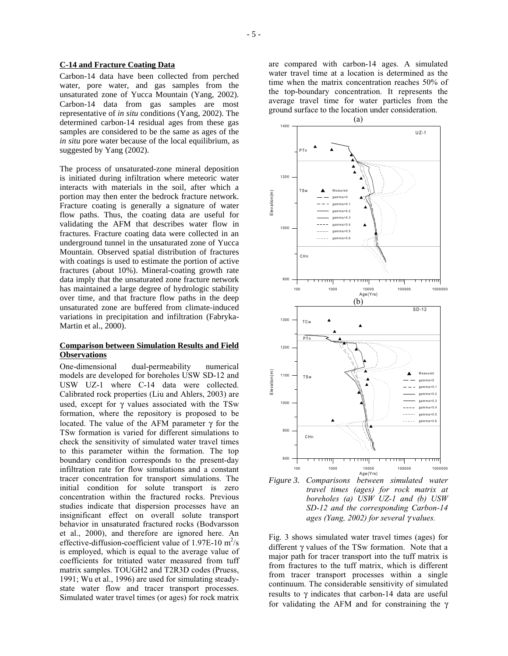## **C-14 and Fracture Coating Data**

Carbon-14 data have been collected from perched water, pore water, and gas samples from the unsaturated zone of Yucca Mountain (Yang, 2002). Carbon-14 data from gas samples are most representative of *in situ* conditions (Yang, 2002). The determined carbon-14 residual ages from these gas samples are considered to be the same as ages of the *in situ* pore water because of the local equilibrium, as suggested by Yang (2002).

The process of unsaturated-zone mineral deposition is initiated during infiltration where meteoric water interacts with materials in the soil, after which a portion may then enter the bedrock fracture network. Fracture coating is generally a signature of water flow paths. Thus, the coating data are useful for validating the AFM that describes water flow in fractures. Fracture coating data were collected in an underground tunnel in the unsaturated zone of Yucca Mountain. Observed spatial distribution of fractures with coatings is used to estimate the portion of active fractures (about 10%). Mineral-coating growth rate data imply that the unsaturated zone fracture network has maintained a large degree of hydrologic stability over time, and that fracture flow paths in the deep unsaturated zone are buffered from climate-induced variations in precipitation and infiltration (Fabryka-Martin et al., 2000).

### **Comparison between Simulation Results and Field Observations**

One-dimensional dual-permeability numerical models are developed for boreholes USW SD-12 and USW UZ-1 where C-14 data were collected. Calibrated rock properties (Liu and Ahlers, 2003) are used, except for γ values associated with the TSw formation, where the repository is proposed to be located. The value of the AFM parameter  $\gamma$  for the TSw formation is varied for different simulations to check the sensitivity of simulated water travel times to this parameter within the formation. The top boundary condition corresponds to the present-day infiltration rate for flow simulations and a constant tracer concentration for transport simulations. The initial condition for solute transport is zero concentration within the fractured rocks. Previous studies indicate that dispersion processes have an insignificant effect on overall solute transport behavior in unsaturated fractured rocks (Bodvarsson et al., 2000), and therefore are ignored here. An effective-diffusion-coefficient value of  $1.97E-10$  m<sup>2</sup>/s is employed, which is equal to the average value of coefficients for tritiated water measured from tuff matrix samples. TOUGH2 and T2R3D codes (Pruess, 1991; Wu et al., 1996) are used for simulating steadystate water flow and tracer transport processes. Simulated water travel times (or ages) for rock matrix

are compared with carbon-14 ages. A simulated water travel time at a location is determined as the time when the matrix concentration reaches 50% of the top-boundary concentration. It represents the average travel time for water particles from the ground surface to the location under consideration.



*Figure 3. Comparisons between simulated water travel times (ages) for rock matrix at boreholes (a) USW UZ-1 and (b) USW SD-12 and the corresponding Carbon-14 ages (Yang, 2002) for several* γ *values.* 

Fig. 3 shows simulated water travel times (ages) for different γ values of the TSw formation. Note that a major path for tracer transport into the tuff matrix is from fractures to the tuff matrix, which is different from tracer transport processes within a single continuum. The considerable sensitivity of simulated results to γ indicates that carbon-14 data are useful for validating the AFM and for constraining the γ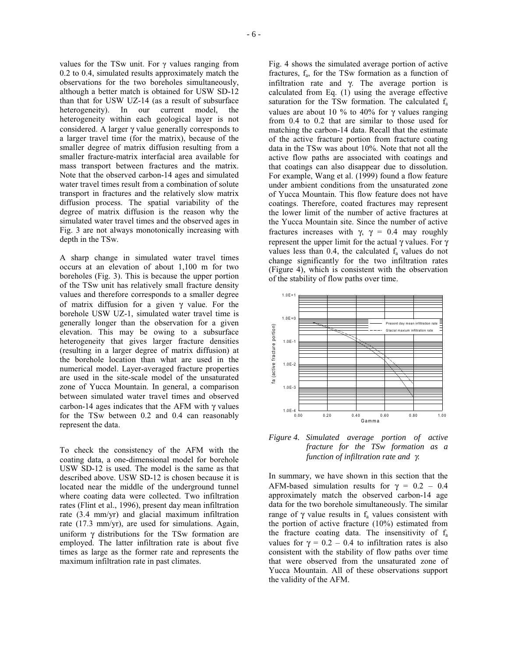values for the TSw unit. For  $\gamma$  values ranging from 0.2 to 0.4, simulated results approximately match the observations for the two boreholes simultaneously, although a better match is obtained for USW SD-12 than that for USW UZ-14 (as a result of subsurface heterogeneity). In our current model, the heterogeneity within each geological layer is not considered. A larger γ value generally corresponds to a larger travel time (for the matrix), because of the smaller degree of matrix diffusion resulting from a smaller fracture-matrix interfacial area available for mass transport between fractures and the matrix. Note that the observed carbon-14 ages and simulated water travel times result from a combination of solute transport in fractures and the relatively slow matrix diffusion process. The spatial variability of the degree of matrix diffusion is the reason why the simulated water travel times and the observed ages in Fig. 3 are not always monotonically increasing with depth in the TSw.

A sharp change in simulated water travel times occurs at an elevation of about 1,100 m for two boreholes (Fig. 3). This is because the upper portion of the TSw unit has relatively small fracture density values and therefore corresponds to a smaller degree of matrix diffusion for a given  $\gamma$  value. For the borehole USW UZ-1, simulated water travel time is generally longer than the observation for a given elevation. This may be owing to a subsurface heterogeneity that gives larger fracture densities (resulting in a larger degree of matrix diffusion) at the borehole location than what are used in the numerical model. Layer-averaged fracture properties are used in the site-scale model of the unsaturated zone of Yucca Mountain. In general, a comparison between simulated water travel times and observed carbon-14 ages indicates that the AFM with γ values for the TSw between 0.2 and 0.4 can reasonably represent the data.

To check the consistency of the AFM with the coating data, a one-dimensional model for borehole USW SD-12 is used. The model is the same as that described above. USW SD-12 is chosen because it is located near the middle of the underground tunnel where coating data were collected. Two infiltration rates (Flint et al., 1996), present day mean infiltration rate (3.4 mm/yr) and glacial maximum infiltration rate (17.3 mm/yr), are used for simulations. Again, uniform  $\gamma$  distributions for the TSw formation are employed. The latter infiltration rate is about five times as large as the former rate and represents the maximum infiltration rate in past climates.

Fig. 4 shows the simulated average portion of active fractures,  $f_a$ , for the TSw formation as a function of infiltration rate and γ. The average portion is calculated from Eq. (1) using the average effective saturation for the TSw formation. The calculated  $f_a$ values are about 10 % to 40% for  $\gamma$  values ranging from 0.4 to 0.2 that are similar to those used for matching the carbon-14 data. Recall that the estimate of the active fracture portion from fracture coating data in the TSw was about 10%. Note that not all the active flow paths are associated with coatings and that coatings can also disappear due to dissolution. For example, Wang et al. (1999) found a flow feature under ambient conditions from the unsaturated zone of Yucca Mountain. This flow feature does not have coatings. Therefore, coated fractures may represent the lower limit of the number of active fractures at the Yucca Mountain site. Since the number of active fractures increases with  $\gamma$ ,  $\gamma = 0.4$  may roughly represent the upper limit for the actual  $γ$  values. For  $γ$ values less than 0.4, the calculated  $f_a$  values do not change significantly for the two infiltration rates (Figure 4), which is consistent with the observation of the stability of flow paths over time.



*Figure 4. Simulated average portion of active fracture for the TSw formation as a function of infiltration rate and* γ*.* 

In summary, we have shown in this section that the AFM-based simulation results for  $\gamma = 0.2 - 0.4$ approximately match the observed carbon-14 age data for the two borehole simultaneously. The similar range of γ value results in  $f_a$  values consistent with the portion of active fracture (10%) estimated from the fracture coating data. The insensitivity of  $f_a$ values for  $\gamma = 0.2 - 0.4$  to infiltration rates is also consistent with the stability of flow paths over time that were observed from the unsaturated zone of Yucca Mountain. All of these observations support the validity of the AFM.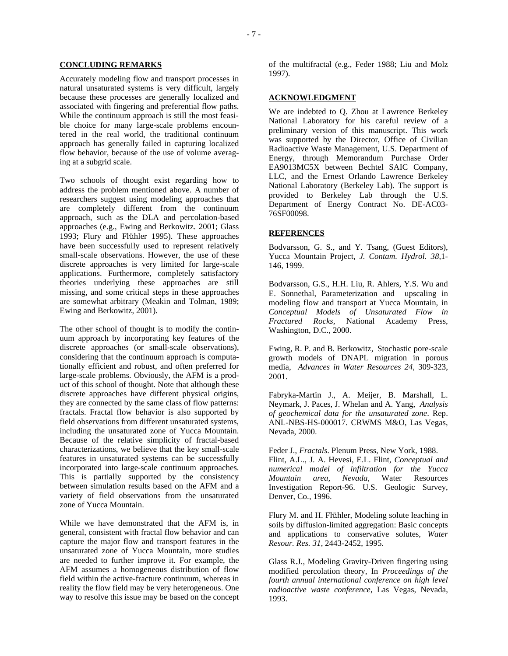### **CONCLUDING REMARKS**

Accurately modeling flow and transport processes in natural unsaturated systems is very difficult, largely because these processes are generally localized and associated with fingering and preferential flow paths. While the continuum approach is still the most feasible choice for many large-scale problems encountered in the real world, the traditional continuum approach has generally failed in capturing localized flow behavior, because of the use of volume averaging at a subgrid scale.

Two schools of thought exist regarding how to address the problem mentioned above. A number of researchers suggest using modeling approaches that are completely different from the continuum approach, such as the DLA and percolation-based approaches (e.g., Ewing and Berkowitz. 2001; Glass 1993; Flury and Flühler 1995). These approaches have been successfully used to represent relatively small-scale observations. However, the use of these discrete approaches is very limited for large-scale applications. Furthermore, completely satisfactory theories underlying these approaches are still missing, and some critical steps in these approaches are somewhat arbitrary (Meakin and Tolman, 1989; Ewing and Berkowitz, 2001).

The other school of thought is to modify the continuum approach by incorporating key features of the discrete approaches (or small-scale observations), considering that the continuum approach is computationally efficient and robust, and often preferred for large-scale problems. Obviously, the AFM is a product of this school of thought. Note that although these discrete approaches have different physical origins, they are connected by the same class of flow patterns: fractals. Fractal flow behavior is also supported by field observations from different unsaturated systems, including the unsaturated zone of Yucca Mountain. Because of the relative simplicity of fractal-based characterizations, we believe that the key small-scale features in unsaturated systems can be successfully incorporated into large-scale continuum approaches. This is partially supported by the consistency between simulation results based on the AFM and a variety of field observations from the unsaturated zone of Yucca Mountain.

While we have demonstrated that the AFM is, in general, consistent with fractal flow behavior and can capture the major flow and transport features in the unsaturated zone of Yucca Mountain, more studies are needed to further improve it. For example, the AFM assumes a homogeneous distribution of flow field within the active-fracture continuum, whereas in reality the flow field may be very heterogeneous. One way to resolve this issue may be based on the concept of the multifractal (e.g., Feder 1988; Liu and Molz 1997).

### **ACKNOWLEDGMENT**

We are indebted to Q. Zhou at Lawrence Berkeley National Laboratory for his careful review of a preliminary version of this manuscript. This work was supported by the Director, Office of Civilian Radioactive Waste Management, U.S. Department of Energy, through Memorandum Purchase Order EA9013MC5X between Bechtel SAIC Company, LLC, and the Ernest Orlando Lawrence Berkeley National Laboratory (Berkeley Lab). The support is provided to Berkeley Lab through the U.S. Department of Energy Contract No. DE-AC03- 76SF00098.

#### **REFERENCES**

Bodvarsson, G. S., and Y. Tsang, (Guest Editors), Yucca Mountain Project, *J. Contam. Hydrol. 38*,1- 146, 1999.

Bodvarsson, G.S., H.H. Liu, R. Ahlers, Y.S. Wu and E. Sonnethal, Parameterization and upscaling in modeling flow and transport at Yucca Mountain, in *Conceptual Models of Unsaturated Flow in Fractured Rocks*, National Academy Press, Washington, D.C., 2000.

Ewing, R. P. and B. Berkowitz, Stochastic pore-scale growth models of DNAPL migration in porous media, *Advances in Water Resources 24*, 309-323, 2001.

Fabryka-Martin J., A. Meijer, B. Marshall, L. Neymark, J. Paces, J. Whelan and A. Yang, *Analysis of geochemical data for the unsaturated zone*. Rep. ANL-NBS-HS-000017. CRWMS M&O, Las Vegas, Nevada, 2000.

Feder J., *Fractals*. Plenum Press, New York, 1988. Flint, A.L., J. A. Hevesi, E.L. Flint, *Conceptual and numerical model of infiltration for the Yucca Mountain area, Nevada*, Water Resources Investigation Report-96. U.S. Geologic Survey, Denver, Co., 1996.

Flury M. and H. Flühler, Modeling solute leaching in soils by diffusion-limited aggregation: Basic concepts and applications to conservative solutes, *Water Resour. Res. 31*, 2443-2452, 1995.

Glass R.J., Modeling Gravity-Driven fingering using modified percolation theory, In *Proceedings of the fourth annual international conference on high level radioactive waste conference*, Las Vegas, Nevada, 1993.